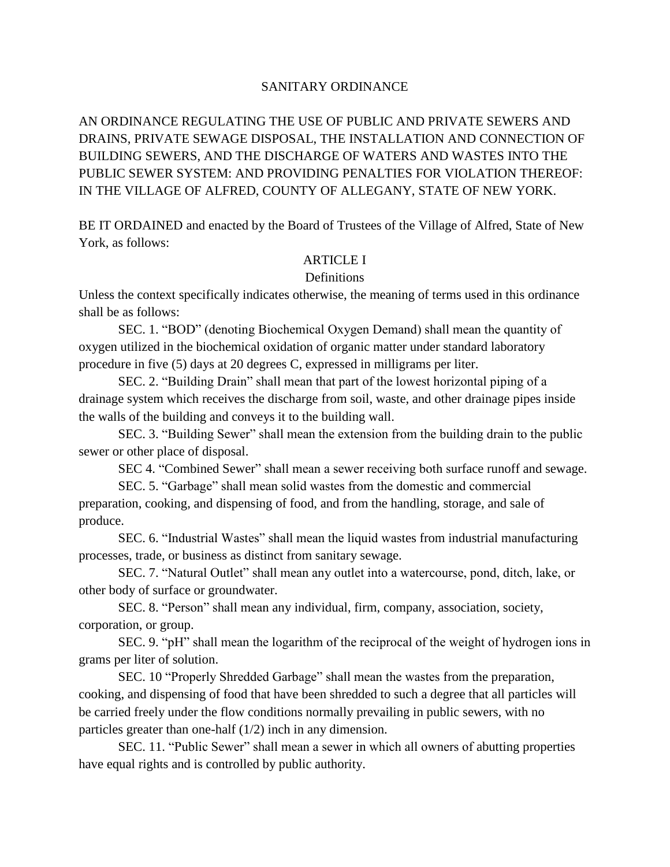# SANITARY ORDINANCE

AN ORDINANCE REGULATING THE USE OF PUBLIC AND PRIVATE SEWERS AND DRAINS, PRIVATE SEWAGE DISPOSAL, THE INSTALLATION AND CONNECTION OF BUILDING SEWERS, AND THE DISCHARGE OF WATERS AND WASTES INTO THE PUBLIC SEWER SYSTEM: AND PROVIDING PENALTIES FOR VIOLATION THEREOF: IN THE VILLAGE OF ALFRED, COUNTY OF ALLEGANY, STATE OF NEW YORK.

BE IT ORDAINED and enacted by the Board of Trustees of the Village of Alfred, State of New York, as follows:

# ARTICLE I

# **Definitions**

Unless the context specifically indicates otherwise, the meaning of terms used in this ordinance shall be as follows:

SEC. 1. "BOD" (denoting Biochemical Oxygen Demand) shall mean the quantity of oxygen utilized in the biochemical oxidation of organic matter under standard laboratory procedure in five (5) days at 20 degrees C, expressed in milligrams per liter.

SEC. 2. "Building Drain" shall mean that part of the lowest horizontal piping of a drainage system which receives the discharge from soil, waste, and other drainage pipes inside the walls of the building and conveys it to the building wall.

SEC. 3. "Building Sewer" shall mean the extension from the building drain to the public sewer or other place of disposal. SEC. 3. "Building Sewer" shall mean the extension from the building drain to the public<br>r other place of disposal.<br>SEC 4. "Combined Sewer" shall mean a sewer receiving both surface runoff and sewage.

r other place of disposal.<br>SEC 4. "Combined Sewer" shall mean a sewer receiving both surface runoff and se<br>SEC. 5. "Garbage" shall mean solid wastes from the domestic and commercial

preparation, cooking, and dispensing of food, and from the handling, storage, and sale of produce.<br>SEC. 6. "Industrial Wastes" shall mean the liquid wastes from industrial manufacturing

processes, trade, or business as distinct from sanitary sewage.

SEC. 7. "Natural Outlet" shall mean any outlet into a watercourse, pond, ditch, lake, or other body of surface or groundwater.

SEC. 8. "Person" shall mean any individual, firm, company, association, society, corporation, or group.

SEC. 9. "pH" shall mean the logarithm of the reciprocal of the weight of hydrogen ions in grams per liter of solution.

SEC. 10 "Properly Shredded Garbage" shall mean the wastes from the preparation, cooking, and dispensing of food that have been shredded to such a degree that all particles will be carried freely under the flow conditions normally prevailing in public sewers, with no particles greater than one-half (1/2) inch in any dimension.

SEC. 11. "Public Sewer" shall mean a sewer in which all owners of abutting properties have equal rights and is controlled by public authority.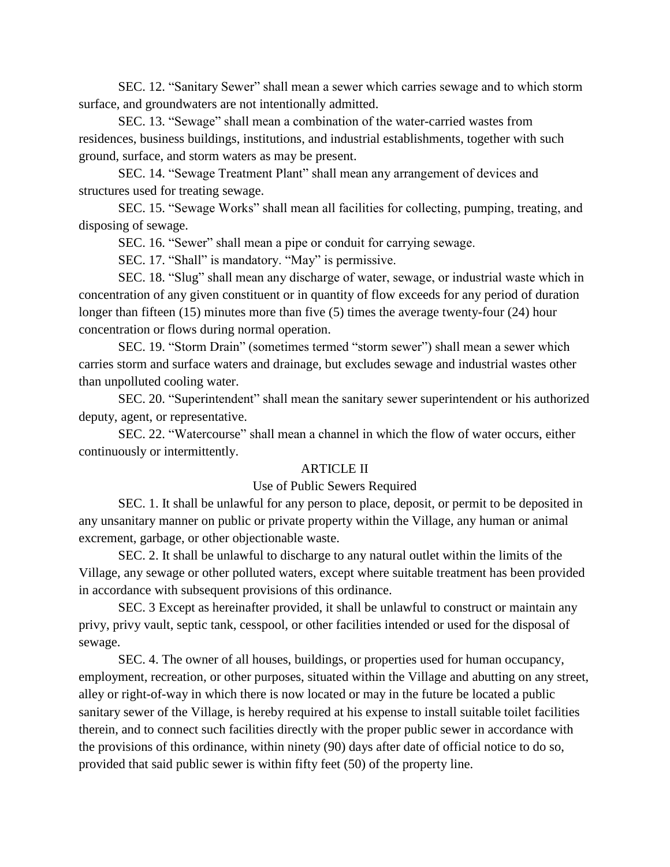SEC. 12. "Sanitary Sewer" shall mean a sewer which carries sewage and to which storm surface, and groundwaters are not intentionally admitted.

SEC. 13. "Sewage" shall mean a combination of the water-carried wastes from residences, business buildings, institutions, and industrial establishments, together with such ground, surface, and storm waters as may be present.

SEC. 14. "Sewage Treatment Plant" shall mean any arrangement of devices and structures used for treating sewage.

SEC. 15. "Sewage Works" shall mean all facilities for collecting, pumping, treating, and disposing of sewage. SEC. 15. "Sewage Works" shall mean all facilities for collecting, pumpii<br>ng of sewage.<br>SEC. 16. "Sewer" shall mean a pipe or conduit for carrying sewage.

ng of sewage.<br>SEC. 16. "Sewer" shall mean a pipe or conduit for carryir<br>SEC. 17. "Shall" is mandatory. "May" is permissive.

SEC. 17. "Shall" is mandatory. "May" is permissive.<br>SEC. 18. "Slug" shall mean any discharge of water, sewage, or industrial waste which in concentration of any given constituent or in quantity of flow exceeds for any period of duration longer than fifteen (15) minutes more than five (5) times the average twenty-four (24) hour concentration or flows during normal operation.

SEC. 19. "Storm Drain" (sometimes termed "storm sewer") shall mean a sewer which carries storm and surface waters and drainage, but excludes sewage and industrial wastes other than unpolluted cooling water.

SEC. 20. "Superintendent" shall mean the sanitary sewer superintendent or his authorized deputy, agent, or representative.

SEC. 22. "Watercourse" shall mean a channel in which the flow of water occurs, either continuously or intermittently.

### ARTICLE II

### Use of Public Sewers Required

SEC. 1. It shall be unlawful for any person to place, deposit, or permit to be deposited in any unsanitary manner on public or private property within the Village, any human or animal excrement, garbage, or other objectionable waste.

SEC. 2. It shall be unlawful to discharge to any natural outlet within the limits of the Village, any sewage or other polluted waters, except where suitable treatment has been provided in accordance with subsequent provisions of this ordinance.

SEC. 3 Except as hereinafter provided, it shall be unlawful to construct or maintain any privy, privy vault, septic tank, cesspool, or other facilities intended or used for the disposal of sewage.<br>SEC. 4. The owner of all houses, buildings, or properties used for human occupancy,

employment, recreation, or other purposes, situated within the Village and abutting on any street, alley or right-of-way in which there is now located or may in the future be located a public sanitary sewer of the Village, is hereby required at his expense to install suitable toilet facilities therein, and to connect such facilities directly with the proper public sewer in accordance with the provisions of this ordinance, within ninety (90) days after date of official notice to do so, provided that said public sewer is within fifty feet (50) of the property line.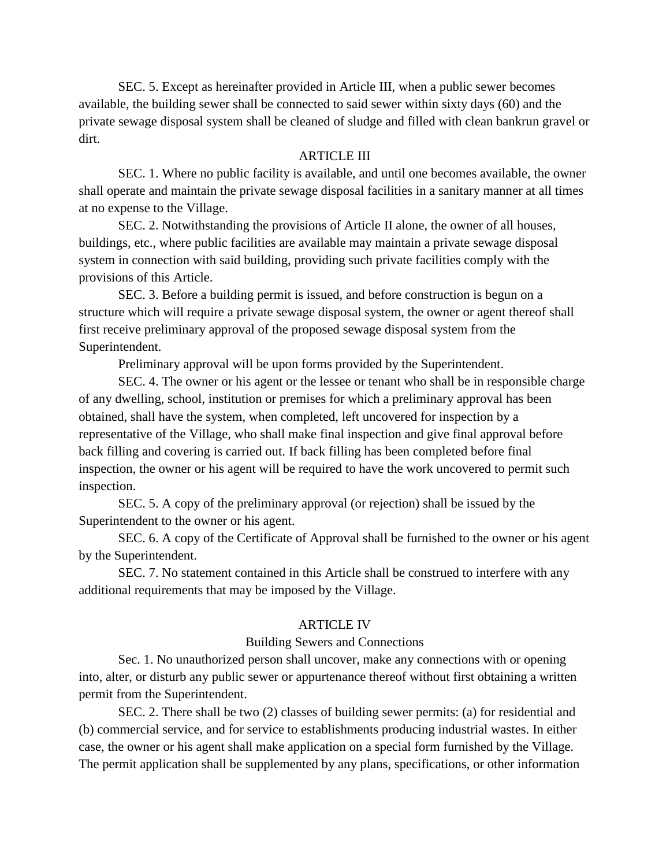SEC. 5. Except as hereinafter provided in Article III, when a public sewer becomes available, the building sewer shall be connected to said sewer within sixty days (60) and the private sewage disposal system shall be cleaned of sludge and filled with clean bankrun gravel or dirt.

## ARTICLE III

SEC. 1. Where no public facility is available, and until one becomes available, the owner shall operate and maintain the private sewage disposal facilities in a sanitary manner at all times at no expense to the Village.

SEC. 2. Notwithstanding the provisions of Article II alone, the owner of all houses, buildings, etc., where public facilities are available may maintain a private sewage disposal system in connection with said building, providing such private facilities comply with the provisions of this Article.

SEC. 3. Before a building permit is issued, and before construction is begun on a structure which will require a private sewage disposal system, the owner or agent thereof shall first receive preliminary approval of the proposed sewage disposal system from the Superintendent.

Preliminary approval will be upon forms provided by the Superintendent.

SEC. 4. The owner or his agent or the lessee or tenant who shall be in responsible charge of any dwelling, school, institution or premises for which a preliminary approval has been obtained, shall have the system, when completed, left uncovered for inspection by a representative of the Village, who shall make final inspection and give final approval before back filling and covering is carried out. If back filling has been completed before final inspection, the owner or his agent will be required to have the work uncovered to permit such inspection.

SEC. 5. A copy of the preliminary approval (or rejection) shall be issued by the Superintendent to the owner or his agent.

SEC. 6. A copy of the Certificate of Approval shall be furnished to the owner or his agent by the Superintendent.

SEC. 7. No statement contained in this Article shall be construed to interfere with any additional requirements that may be imposed by the Village.

### ARTICLE IV

### Building Sewers and Connections

Sec. 1. No unauthorized person shall uncover, make any connections with or opening into, alter, or disturb any public sewer or appurtenance thereof without first obtaining a written permit from the Superintendent.

SEC. 2. There shall be two (2) classes of building sewer permits: (a) for residential and (b) commercial service, and for service to establishments producing industrial wastes. In either case, the owner or his agent shall make application on a special form furnished by the Village. The permit application shall be supplemented by any plans, specifications, or other information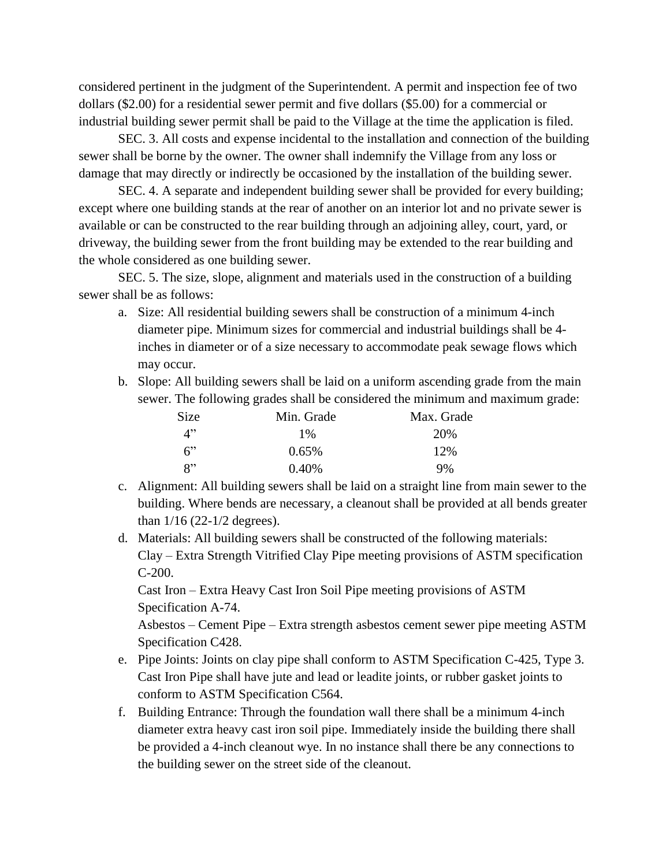considered pertinent in the judgment of the Superintendent. A permit and inspection fee of two dollars (\$2.00) for a residential sewer permit and five dollars (\$5.00) for a commercial or industrial building sewer permit shall be paid to the Village at the time the application is filed.

SEC. 3. All costs and expense incidental to the installation and connection of the building sewer shall be borne by the owner. The owner shall indemnify the Village from any loss or damage that may directly or indirectly be occasioned by the installation of the building sewer.

SEC. 4. A separate and independent building sewer shall be provided for every building; except where one building stands at the rear of another on an interior lot and no private sewer is available or can be constructed to the rear building through an adjoining alley, court, yard, or driveway, the building sewer from the front building may be extended to the rear building and the whole considered as one building sewer.

SEC. 5. The size, slope, alignment and materials used in the construction of a building sewer shall be as follows:

- a. Size: All residential building sewers shall be construction of a minimum 4-inch diameter pipe. Minimum sizes for commercial and industrial buildings shall be 4 inches in diameter or of a size necessary to accommodate peak sewage flows which may occur.
- b. Slope: All building sewers shall be laid on a uniform ascending grade from the main

| sewer. The following grades shall be considered the minimum and maximum grade: |            |            |  |
|--------------------------------------------------------------------------------|------------|------------|--|
| <b>Size</b>                                                                    | Min. Grade | Max. Grade |  |
| 4"                                                                             | 1 %        | 20%        |  |
| 6                                                                              | 0.65%      | 12%        |  |
| $\mathsf{R}^{\prime\prime}$                                                    | $0.40\%$   | 9%         |  |

- c. Alignment: All building sewers shall be laid on a straight line from main sewer to the building. Where bends are necessary, a cleanout shall be provided at all bends greater than  $1/16$  (22-1/2 degrees).
- d. Materials: All building sewers shall be constructed of the following materials: Clay – Extra Strength Vitrified Clay Pipe meeting provisions of ASTM specification C-200.

Cast Iron – Extra Heavy Cast Iron Soil Pipe meeting provisions of ASTM Specification A-74.

Asbestos – Cement Pipe – Extra strength asbestos cement sewer pipe meeting ASTM Specification C428.

- e. Pipe Joints: Joints on clay pipe shall conform to ASTM Specification C-425, Type 3. Cast Iron Pipe shall have jute and lead or leadite joints, or rubber gasket joints to conform to ASTM Specification C564.
- f. Building Entrance: Through the foundation wall there shall be a minimum 4-inch diameter extra heavy cast iron soil pipe. Immediately inside the building there shall be provided a 4-inch cleanout wye. In no instance shall there be any connections to the building sewer on the street side of the cleanout.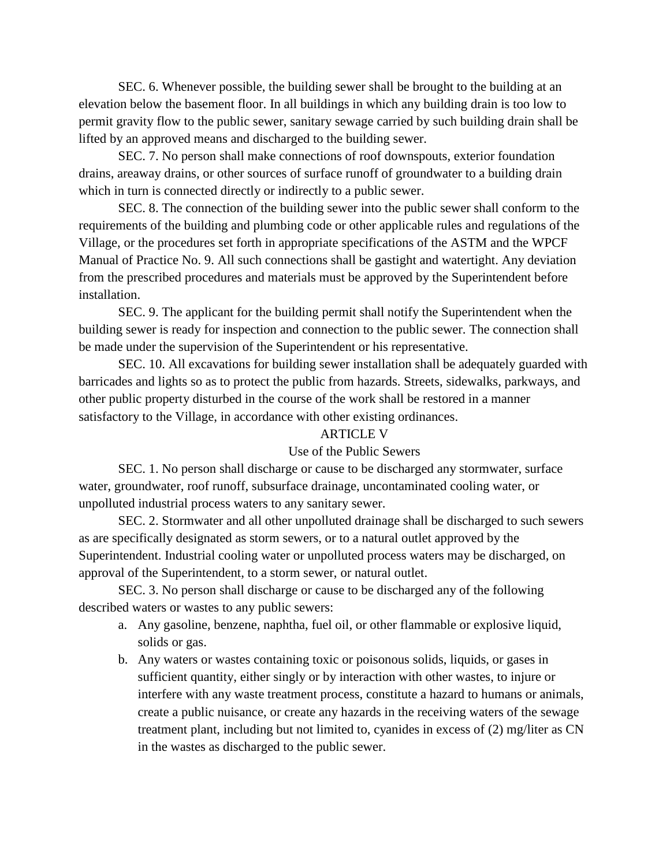SEC. 6. Whenever possible, the building sewer shall be brought to the building at an elevation below the basement floor. In all buildings in which any building drain is too low to permit gravity flow to the public sewer, sanitary sewage carried by such building drain shall be lifted by an approved means and discharged to the building sewer.

SEC. 7. No person shall make connections of roof downspouts, exterior foundation drains, areaway drains, or other sources of surface runoff of groundwater to a building drain which in turn is connected directly or indirectly to a public sewer.

SEC. 8. The connection of the building sewer into the public sewer shall conform to the requirements of the building and plumbing code or other applicable rules and regulations of the Village, or the procedures set forth in appropriate specifications of the ASTM and the WPCF Manual of Practice No. 9. All such connections shall be gastight and watertight. Any deviation from the prescribed procedures and materials must be approved by the Superintendent before installation.

SEC. 9. The applicant for the building permit shall notify the Superintendent when the building sewer is ready for inspection and connection to the public sewer. The connection shall be made under the supervision of the Superintendent or his representative.

SEC. 10. All excavations for building sewer installation shall be adequately guarded with barricades and lights so as to protect the public from hazards. Streets, sidewalks, parkways, and other public property disturbed in the course of the work shall be restored in a manner satisfactory to the Village, in accordance with other existing ordinances.

# ARTICLE V

# Use of the Public Sewers

SEC. 1. No person shall discharge or cause to be discharged any stormwater, surface water, groundwater, roof runoff, subsurface drainage, uncontaminated cooling water, or unpolluted industrial process waters to any sanitary sewer.

SEC. 2. Stormwater and all other unpolluted drainage shall be discharged to such sewers as are specifically designated as storm sewers, or to a natural outlet approved by the Superintendent. Industrial cooling water or unpolluted process waters may be discharged, on approval of the Superintendent, to a storm sewer, or natural outlet.

SEC. 3. No person shall discharge or cause to be discharged any of the following described waters or wastes to any public sewers:

- a. Any gasoline, benzene, naphtha, fuel oil, or other flammable or explosive liquid, solids or gas.
- b. Any waters or wastes containing toxic or poisonous solids, liquids, or gases in sufficient quantity, either singly or by interaction with other wastes, to injure or interfere with any waste treatment process, constitute a hazard to humans or animals, create a public nuisance, or create any hazards in the receiving waters of the sewage treatment plant, including but not limited to, cyanides in excess of (2) mg/liter as CN in the wastes as discharged to the public sewer.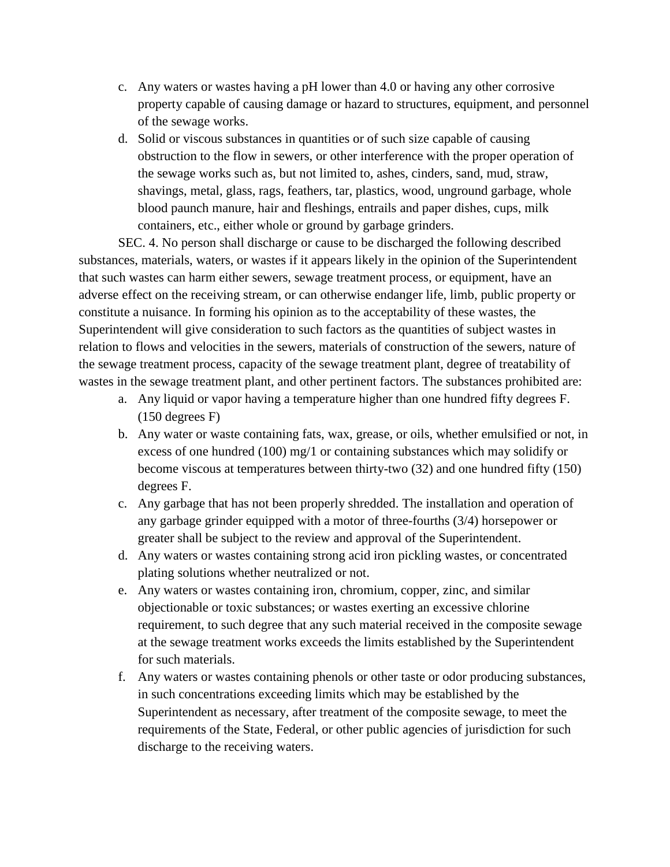- c. Any waters or wastes having a pH lower than 4.0 or having any other corrosive property capable of causing damage or hazard to structures, equipment, and personnel of the sewage works.
- d. Solid or viscous substances in quantities or of such size capable of causing obstruction to the flow in sewers, or other interference with the proper operation of the sewage works such as, but not limited to, ashes, cinders, sand, mud, straw, shavings, metal, glass, rags, feathers, tar, plastics, wood, unground garbage, whole blood paunch manure, hair and fleshings, entrails and paper dishes, cups, milk containers, etc., either whole or ground by garbage grinders.

SEC. 4. No person shall discharge or cause to be discharged the following described substances, materials, waters, or wastes if it appears likely in the opinion of the Superintendent that such wastes can harm either sewers, sewage treatment process, or equipment, have an adverse effect on the receiving stream, or can otherwise endanger life, limb, public property or constitute a nuisance. In forming his opinion as to the acceptability of these wastes, the Superintendent will give consideration to such factors as the quantities of subject wastes in relation to flows and velocities in the sewers, materials of construction of the sewers, nature of the sewage treatment process, capacity of the sewage treatment plant, degree of treatability of wastes in the sewage treatment plant, and other pertinent factors. The substances prohibited are:

- a. Any liquid or vapor having a temperature higher than one hundred fifty degrees F. (150 degrees F)
- b. Any water or waste containing fats, wax, grease, or oils, whether emulsified or not, in excess of one hundred (100) mg/1 or containing substances which may solidify or become viscous at temperatures between thirty-two (32) and one hundred fifty (150) degrees F.<br>c. Any garbage that has not been properly shredded. The installation and operation of
- any garbage grinder equipped with a motor of three-fourths (3/4) horsepower or greater shall be subject to the review and approval of the Superintendent.
- d. Any waters or wastes containing strong acid iron pickling wastes, or concentrated plating solutions whether neutralized or not.
- e. Any waters or wastes containing iron, chromium, copper, zinc, and similar objectionable or toxic substances; or wastes exerting an excessive chlorine requirement, to such degree that any such material received in the composite sewage at the sewage treatment works exceeds the limits established by the Superintendent for such materials.
- f. Any waters or wastes containing phenols or other taste or odor producing substances, in such concentrations exceeding limits which may be established by the Superintendent as necessary, after treatment of the composite sewage, to meet the requirements of the State, Federal, or other public agencies of jurisdiction for such discharge to the receiving waters.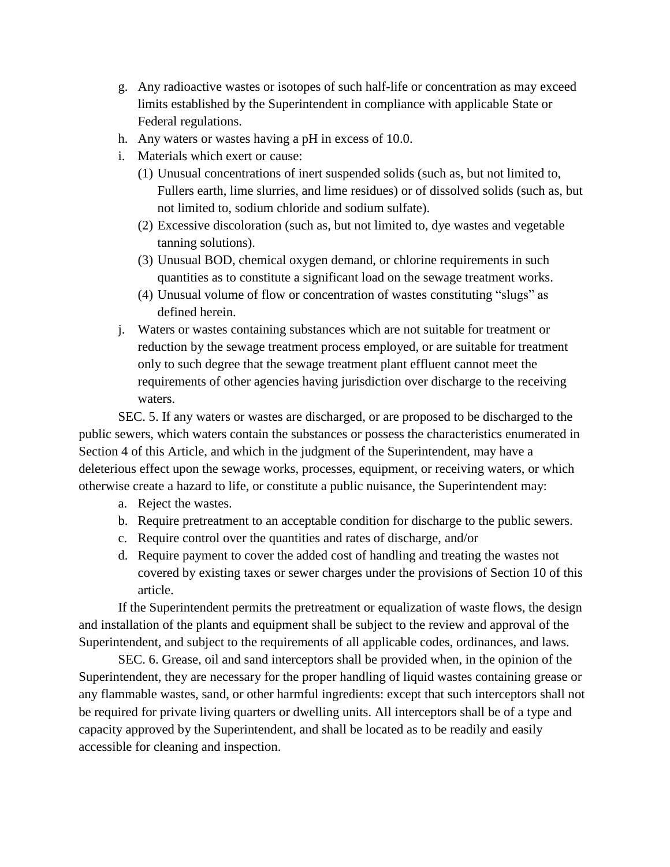- g. Any radioactive wastes or isotopes of such half-life or concentration as may exceed limits established by the Superintendent in compliance with applicable State or Federal regulations.
- h. Any waters or wastes having a pH in excess of 10.0.
- i. Materials which exert or cause:
	- (1) Unusual concentrations of inert suspended solids (such as, but not limited to, Fullers earth, lime slurries, and lime residues) or of dissolved solids (such as, but not limited to, sodium chloride and sodium sulfate).
	- (2) Excessive discoloration (such as, but not limited to, dye wastes and vegetable tanning solutions).
	- (3) Unusual BOD, chemical oxygen demand, or chlorine requirements in such quantities as to constitute a significant load on the sewage treatment works.
	- $(4)$  Unusual volume of flow or concentration of wastes constituting "slugs" as defined herein.
- j. Waters or wastes containing substances which are not suitable for treatment or reduction by the sewage treatment process employed, or are suitable for treatment only to such degree that the sewage treatment plant effluent cannot meet the requirements of other agencies having jurisdiction over discharge to the receiving waters.

SEC. 5. If any waters or wastes are discharged, or are proposed to be discharged to the public sewers, which waters contain the substances or possess the characteristics enumerated in Section 4 of this Article, and which in the judgment of the Superintendent, may have a deleterious effect upon the sewage works, processes, equipment, or receiving waters, or which otherwise create a hazard to life, or constitute a public nuisance, the Superintendent may:

- a. Reject the wastes.
- b. Require pretreatment to an acceptable condition for discharge to the public sewers.
- c. Require control over the quantities and rates of discharge, and/or
- d. Require payment to cover the added cost of handling and treating the wastes not covered by existing taxes or sewer charges under the provisions of Section 10 of this article.

If the Superintendent permits the pretreatment or equalization of waste flows, the design and installation of the plants and equipment shall be subject to the review and approval of the Superintendent, and subject to the requirements of all applicable codes, ordinances, and laws.

SEC. 6. Grease, oil and sand interceptors shall be provided when, in the opinion of the Superintendent, they are necessary for the proper handling of liquid wastes containing grease or any flammable wastes, sand, or other harmful ingredients: except that such interceptors shall not be required for private living quarters or dwelling units. All interceptors shall be of a type and capacity approved by the Superintendent, and shall be located as to be readily and easily accessible for cleaning and inspection.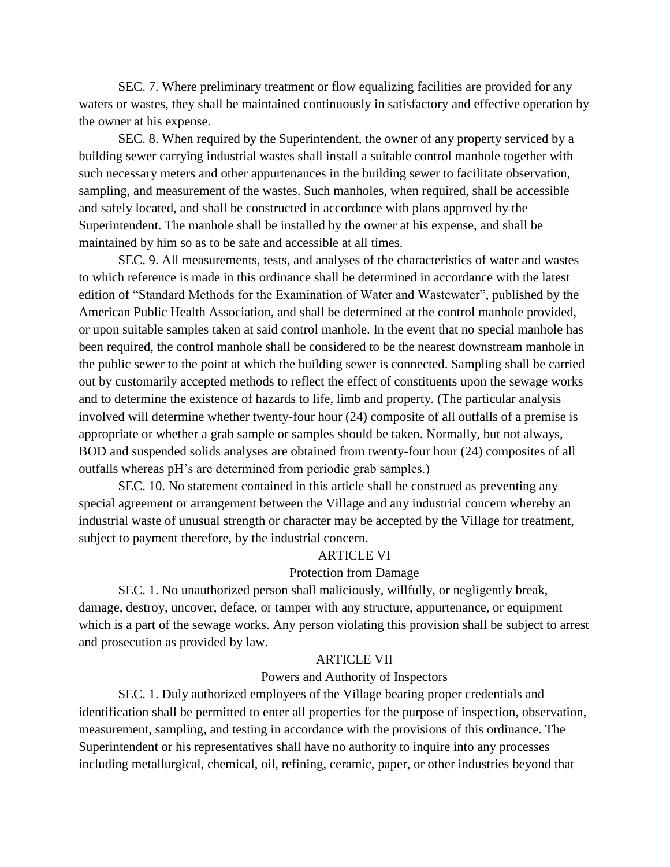SEC. 7. Where preliminary treatment or flow equalizing facilities are provided for any waters or wastes, they shall be maintained continuously in satisfactory and effective operation by the owner at his expense.

SEC. 8. When required by the Superintendent, the owner of any property serviced by a building sewer carrying industrial wastes shall install a suitable control manhole together with such necessary meters and other appurtenances in the building sewer to facilitate observation, sampling, and measurement of the wastes. Such manholes, when required, shall be accessible and safely located, and shall be constructed in accordance with plans approved by the Superintendent. The manhole shall be installed by the owner at his expense, and shall be maintained by him so as to be safe and accessible at all times.

SEC. 9. All measurements, tests, and analyses of the characteristics of water and wastes to which reference is made in this ordinance shall be determined in accordance with the latest edition of "Standard Methods for the Examination of Water and Wastewater", published by the American Public Health Association, and shall be determined at the control manhole provided, or upon suitable samples taken at said control manhole. In the event that no special manhole has been required, the control manhole shall be considered to be the nearest downstream manhole in the public sewer to the point at which the building sewer is connected. Sampling shall be carried out by customarily accepted methods to reflect the effect of constituents upon the sewage works and to determine the existence of hazards to life, limb and property. (The particular analysis involved will determine whether twenty-four hour (24) composite of all outfalls of a premise is appropriate or whether a grab sample or samples should be taken. Normally, but not always, BOD and suspended solids analyses are obtained from twenty-four hour (24) composites of all appropriate or whether a grab sample or samples should be taken. Norma<br>BOD and suspended solids analyses are obtained from twenty-four hour<br>outfalls whereas pH's are determined from periodic grab samples.)

SEC. 10. No statement contained in this article shall be construed as preventing any special agreement or arrangement between the Village and any industrial concern whereby an industrial waste of unusual strength or character may be accepted by the Village for treatment, subject to payment therefore, by the industrial concern.

#### ARTICLE VI

### Protection from Damage

SEC. 1. No unauthorized person shall maliciously, willfully, or negligently break, damage, destroy, uncover, deface, or tamper with any structure, appurtenance, or equipment which is a part of the sewage works. Any person violating this provision shall be subject to arrest and prosecution as provided by law.

## ARTICLE VII

## Powers and Authority of Inspectors

SEC. 1. Duly authorized employees of the Village bearing proper credentials and identification shall be permitted to enter all properties for the purpose of inspection, observation, measurement, sampling, and testing in accordance with the provisions of this ordinance. The Superintendent or his representatives shall have no authority to inquire into any processes including metallurgical, chemical, oil, refining, ceramic, paper, or other industries beyond that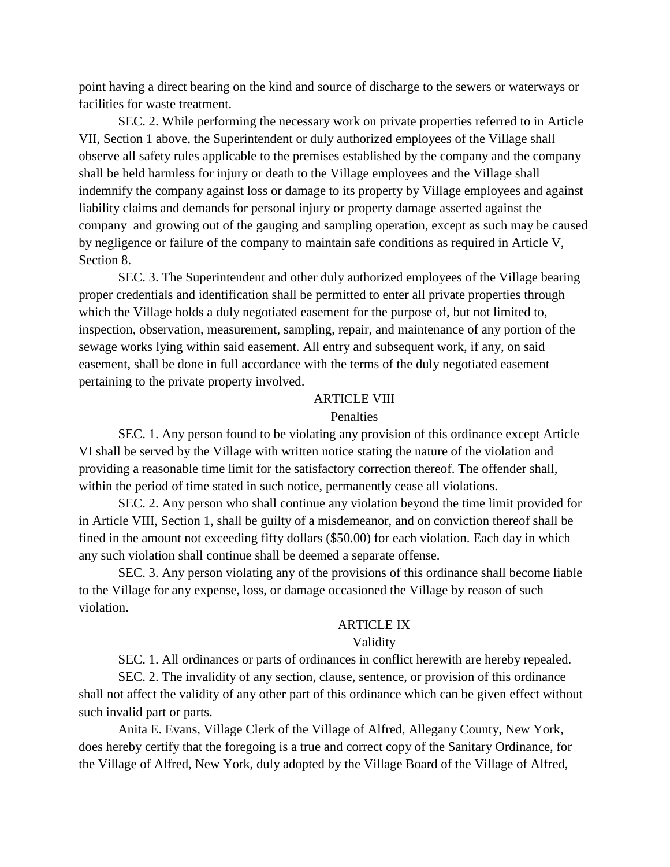point having a direct bearing on the kind and source of discharge to the sewers or waterways or facilities for waste treatment.

SEC. 2. While performing the necessary work on private properties referred to in Article VII, Section 1 above, the Superintendent or duly authorized employees of the Village shall observe all safety rules applicable to the premises established by the company and the company shall be held harmless for injury or death to the Village employees and the Village shall indemnify the company against loss or damage to its property by Village employees and against liability claims and demands for personal injury or property damage asserted against the company and growing out of the gauging and sampling operation, except as such may be caused by negligence or failure of the company to maintain safe conditions as required in Article V, Section 8.

SEC. 3. The Superintendent and other duly authorized employees of the Village bearing proper credentials and identification shall be permitted to enter all private properties through which the Village holds a duly negotiated easement for the purpose of, but not limited to, inspection, observation, measurement, sampling, repair, and maintenance of any portion of the sewage works lying within said easement. All entry and subsequent work, if any, on said easement, shall be done in full accordance with the terms of the duly negotiated easement pertaining to the private property involved.

### ARTICLE VIII

### Penalties

SEC. 1. Any person found to be violating any provision of this ordinance except Article VI shall be served by the Village with written notice stating the nature of the violation and providing a reasonable time limit for the satisfactory correction thereof. The offender shall, within the period of time stated in such notice, permanently cease all violations.

SEC. 2. Any person who shall continue any violation beyond the time limit provided for in Article VIII, Section 1, shall be guilty of a misdemeanor, and on conviction thereof shall be fined in the amount not exceeding fifty dollars (\$50.00) for each violation. Each day in which any such violation shall continue shall be deemed a separate offense.

SEC. 3. Any person violating any of the provisions of this ordinance shall become liable to the Village for any expense, loss, or damage occasioned the Village by reason of such violation.

#### ARTICLE IX

#### Validity

SEC. 1. All ordinances or parts of ordinances in conflict herewith are hereby repealed.

SEC. 2. The invalidity of any section, clause, sentence, or provision of this ordinance shall not affect the validity of any other part of this ordinance which can be given effect without such invalid part or parts.

Anita E. Evans, Village Clerk of the Village of Alfred, Allegany County, New York, does hereby certify that the foregoing is a true and correct copy of the Sanitary Ordinance, for the Village of Alfred, New York, duly adopted by the Village Board of the Village of Alfred,